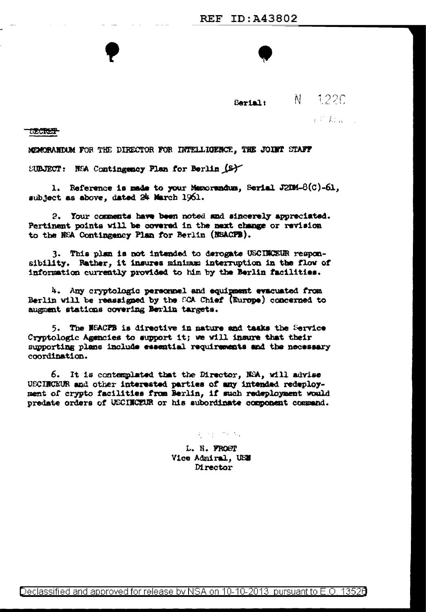Serial:

 $N = 122C$ 

**不是我的** 

**SECRET** 

MEMORANDUM FOR THE DIRECTOR FOR INTELLIGENCE, THE JOINT STAFF

SUBJECT: NEA Contingency Plan for Berlin (S)

1. Reference is made to your Manorandum, Serial J2DM-8(C)-61. subject as above, dated 24 March 1961.

2. Your comments have been noted and sincerely appreciated. Pertinent points will be covered in the mext change or revision to the NEA Contingency Plan for Berlin (NEACPB).

3. This plan is not intended to derogate USCINCEUR responsibility. Rather, it insures minimum interruption in the flow of information currently provided to him by the Berlin facilities.

4. Any cryptologic personnel and equipment evacuated from Berlin will be reassigned by the SCA Chief (Europe) concerned to augment stations covering Berlin targets.

5. The NEACFB is directive in nature and tasks the Service Cryptologic Agencies to support it; we will insure that their supporting plans include essential requirements and the necessary coordination.

6. It is contemplated that the Director, NSA, will advise UECINCEUR and other interested parties of any intended redeployment of crypto facilities from Berlin, if such redeployment would predate orders of USCINCEUR or his subordinate component commend.

1000 1000

L. H. FROST Vice Admiral. USE **Mrector**